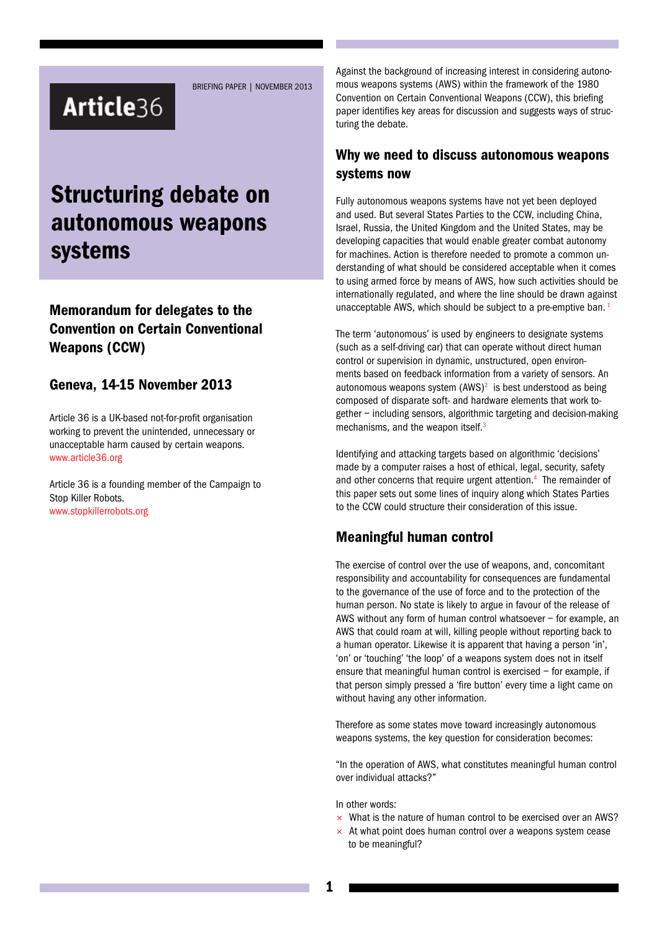# Article36

BRIEFING PAPER | NOVEMBER 2013

# Structuring debate on autonomous weapons systems

# Memorandum for delegates to the Convention on Certain Conventional Weapons (CCW)

#### Geneva, 14-15 November 2013

Article 36 is a UK-based not-for-profit organisation working to prevent the unintended, unnecessary or unacceptable harm caused by certain weapons. www.article36.org

Article 36 is a founding member of the Campaign to Stop Killer Robots. www.stopkillerrobots.org

Against the background of increasing interest in considering autonomous weapons systems (AWS) within the framework of the 1980 Convention on Certain Conventional Weapons (CCW), this briefing paper identifies key areas for discussion and suggests ways of structuring the debate.

#### Why we need to discuss autonomous weapons systems now

Fully autonomous weapons systems have not yet been deployed and used. But several States Parties to the CCW, including China, Israel, Russia, the United Kingdom and the United States, may be developing capacities that would enable greater combat autonomy for machines. Action is therefore needed to promote a common understanding of what should be considered acceptable when it comes to using armed force by means of AWS, how such activities should be internationally regulated, and where the line should be drawn against unacceptable AWS, which should be subject to a pre-emptive ban.<sup>1</sup>

The term 'autonomous' is used by engineers to designate systems (such as a self-driving car) that can operate without direct human control or supervision in dynamic, unstructured, open environments based on feedback information from a variety of sensors. An autonomous weapons system  $(AWS)^2$  is best understood as being composed of disparate soft- and hardware elements that work together – including sensors, algorithmic targeting and decision-making mechanisms, and the weapon itself.<sup>3</sup>

Identifying and attacking targets based on algorithmic 'decisions' made by a computer raises a host of ethical, legal, security, safety and other concerns that require urgent attention.<sup>4</sup> The remainder of this paper sets out some lines of inquiry along which States Parties to the CCW could structure their consideration of this issue.

## Meaningful human control

The exercise of control over the use of weapons, and, concomitant responsibility and accountability for consequences are fundamental to the governance of the use of force and to the protection of the human person. No state is likely to argue in favour of the release of AWS without any form of human control whatsoever – for example, an AWS that could roam at will, killing people without reporting back to a human operator. Likewise it is apparent that having a person 'in', 'on' or 'touching' 'the loop' of a weapons system does not in itself ensure that meaningful human control is exercised – for example, if that person simply pressed a 'fire button' every time a light came on without having any other information.

Therefore as some states move toward increasingly autonomous weapons systems, the key question for consideration becomes:

"In the operation of AWS, what constitutes meaningful human control over individual attacks?"

In other words:

- $\times$  What is the nature of human control to be exercised over an AWS?
- $\times$  At what point does human control over a weapons system cease to be meaningful?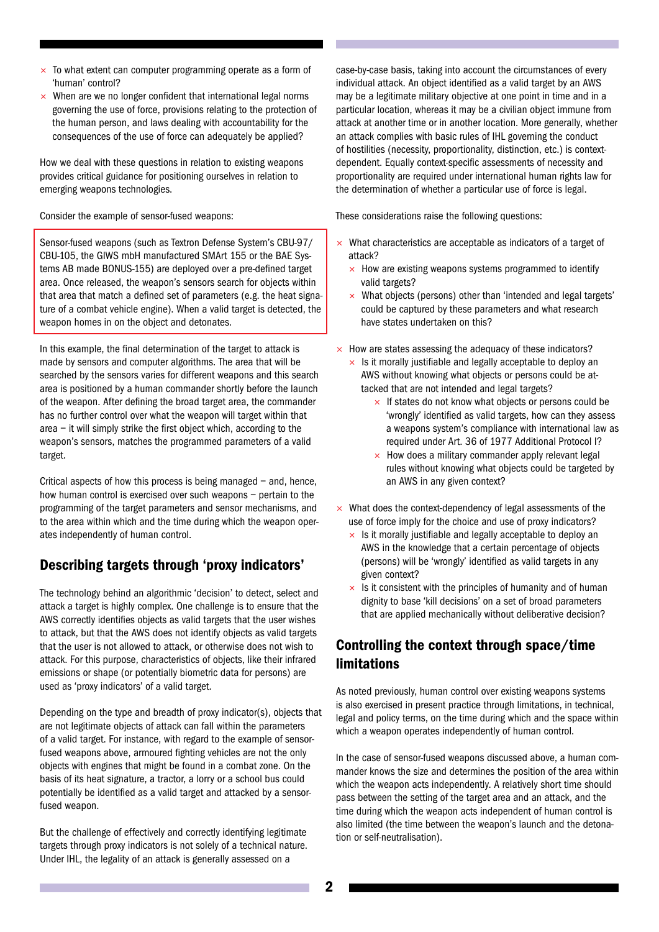- $\times$  To what extent can computer programming operate as a form of 'human' control?
- $\times$  When are we no longer confident that international legal norms governing the use of force, provisions relating to the protection of the human person, and laws dealing with accountability for the consequences of the use of force can adequately be applied?

How we deal with these questions in relation to existing weapons provides critical guidance for positioning ourselves in relation to emerging weapons technologies.

Consider the example of sensor-fused weapons:

Sensor-fused weapons (such as Textron Defense System's CBU-97/ CBU-105, the GIWS mbH manufactured SMArt 155 or the BAE Systems AB made BONUS-155) are deployed over a pre-defined target area. Once released, the weapon's sensors search for objects within that area that match a defined set of parameters (e.g. the heat signature of a combat vehicle engine). When a valid target is detected, the weapon homes in on the object and detonates.

In this example, the final determination of the target to attack is made by sensors and computer algorithms. The area that will be searched by the sensors varies for different weapons and this search area is positioned by a human commander shortly before the launch of the weapon. After defining the broad target area, the commander has no further control over what the weapon will target within that area – it will simply strike the first object which, according to the weapon's sensors, matches the programmed parameters of a valid target.

Critical aspects of how this process is being managed – and, hence, how human control is exercised over such weapons – pertain to the programming of the target parameters and sensor mechanisms, and to the area within which and the time during which the weapon operates independently of human control.

## Describing targets through 'proxy indicators'

The technology behind an algorithmic 'decision' to detect, select and attack a target is highly complex. One challenge is to ensure that the AWS correctly identifies objects as valid targets that the user wishes to attack, but that the AWS does not identify objects as valid targets that the user is not allowed to attack, or otherwise does not wish to attack. For this purpose, characteristics of objects, like their infrared emissions or shape (or potentially biometric data for persons) are used as 'proxy indicators' of a valid target.

Depending on the type and breadth of proxy indicator(s), objects that are not legitimate objects of attack can fall within the parameters of a valid target. For instance, with regard to the example of sensorfused weapons above, armoured fighting vehicles are not the only objects with engines that might be found in a combat zone. On the basis of its heat signature, a tractor, a lorry or a school bus could potentially be identified as a valid target and attacked by a sensorfused weapon.

But the challenge of effectively and correctly identifying legitimate targets through proxy indicators is not solely of a technical nature. Under IHL, the legality of an attack is generally assessed on a

case-by-case basis, taking into account the circumstances of every individual attack. An object identified as a valid target by an AWS may be a legitimate military objective at one point in time and in a particular location, whereas it may be a civilian object immune from attack at another time or in another location. More generally, whether an attack complies with basic rules of IHL governing the conduct of hostilities (necessity, proportionality, distinction, etc.) is contextdependent. Equally context-specific assessments of necessity and proportionality are required under international human rights law for the determination of whether a particular use of force is legal.

These considerations raise the following questions:

- $\times$  What characteristics are acceptable as indicators of a target of attack?
	- $\times$  How are existing weapons systems programmed to identify valid targets?
	- $\times$  What objects (persons) other than 'intended and legal targets' could be captured by these parameters and what research have states undertaken on this?
- $\times$  How are states assessing the adequacy of these indicators?
	- $\times$  Is it morally justifiable and legally acceptable to deploy an AWS without knowing what objects or persons could be attacked that are not intended and legal targets?
		- $\times$  If states do not know what objects or persons could be 'wrongly' identified as valid targets, how can they assess a weapons system's compliance with international law as required under Art. 36 of 1977 Additional Protocol I?
		- $\times$  How does a military commander apply relevant legal rules without knowing what objects could be targeted by an AWS in any given context?
- $\times$  What does the context-dependency of legal assessments of the use of force imply for the choice and use of proxy indicators?
	- $\times$  Is it morally justifiable and legally acceptable to deploy an AWS in the knowledge that a certain percentage of objects (persons) will be 'wrongly' identified as valid targets in any given context?
	- $\times$  Is it consistent with the principles of humanity and of human dignity to base 'kill decisions' on a set of broad parameters that are applied mechanically without deliberative decision?

# Controlling the context through space/time limitations

As noted previously, human control over existing weapons systems is also exercised in present practice through limitations, in technical, legal and policy terms, on the time during which and the space within which a weapon operates independently of human control.

In the case of sensor-fused weapons discussed above, a human commander knows the size and determines the position of the area within which the weapon acts independently. A relatively short time should pass between the setting of the target area and an attack, and the time during which the weapon acts independent of human control is also limited (the time between the weapon's launch and the detonation or self-neutralisation).